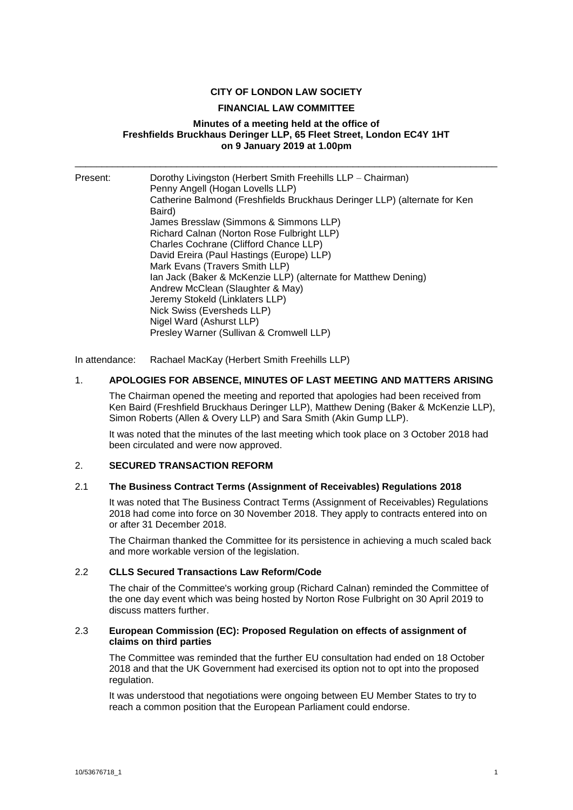### **CITY OF LONDON LAW SOCIETY**

#### **FINANCIAL LAW COMMITTEE**

#### **Minutes of a meeting held at the office of Freshfields Bruckhaus Deringer LLP, 65 Fleet Street, London EC4Y 1HT on 9 January 2019 at 1.00pm**

\_\_\_\_\_\_\_\_\_\_\_\_\_\_\_\_\_\_\_\_\_\_\_\_\_\_\_\_\_\_\_\_\_\_\_\_\_\_\_\_\_\_\_\_\_\_\_\_\_\_\_\_\_\_\_\_\_\_\_\_\_\_\_\_\_\_\_\_\_\_\_\_\_\_\_\_\_\_\_

Present: Dorothy Livingston (Herbert Smith Freehills LLP – Chairman) Penny Angell (Hogan Lovells LLP) Catherine Balmond (Freshfields Bruckhaus Deringer LLP) (alternate for Ken Baird) James Bresslaw (Simmons & Simmons LLP) Richard Calnan (Norton Rose Fulbright LLP) Charles Cochrane (Clifford Chance LLP) David Ereira (Paul Hastings (Europe) LLP) Mark Evans (Travers Smith LLP) Ian Jack (Baker & McKenzie LLP) (alternate for Matthew Dening) Andrew McClean (Slaughter & May) Jeremy Stokeld (Linklaters LLP) Nick Swiss (Eversheds LLP) Nigel Ward (Ashurst LLP) Presley Warner (Sullivan & Cromwell LLP)

In attendance: Rachael MacKay (Herbert Smith Freehills LLP)

#### 1. **APOLOGIES FOR ABSENCE, MINUTES OF LAST MEETING AND MATTERS ARISING**

The Chairman opened the meeting and reported that apologies had been received from Ken Baird (Freshfield Bruckhaus Deringer LLP), Matthew Dening (Baker & McKenzie LLP), Simon Roberts (Allen & Overy LLP) and Sara Smith (Akin Gump LLP).

It was noted that the minutes of the last meeting which took place on 3 October 2018 had been circulated and were now approved.

#### 2. **SECURED TRANSACTION REFORM**

#### 2.1 **The Business Contract Terms (Assignment of Receivables) Regulations 2018**

It was noted that The Business Contract Terms (Assignment of Receivables) Regulations 2018 had come into force on 30 November 2018. They apply to contracts entered into on or after 31 December 2018.

The Chairman thanked the Committee for its persistence in achieving a much scaled back and more workable version of the legislation.

#### 2.2 **CLLS Secured Transactions Law Reform/Code**

The chair of the Committee's working group (Richard Calnan) reminded the Committee of the one day event which was being hosted by Norton Rose Fulbright on 30 April 2019 to discuss matters further.

#### 2.3 **European Commission (EC): Proposed Regulation on effects of assignment of claims on third parties**

The Committee was reminded that the further EU consultation had ended on 18 October 2018 and that the UK Government had exercised its option not to opt into the proposed regulation.

It was understood that negotiations were ongoing between EU Member States to try to reach a common position that the European Parliament could endorse.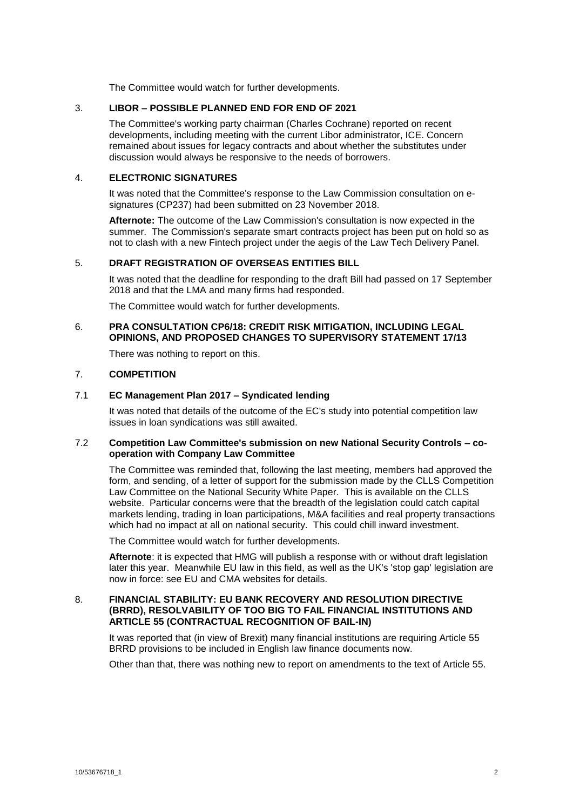The Committee would watch for further developments.

# 3. **LIBOR – POSSIBLE PLANNED END FOR END OF 2021**

The Committee's working party chairman (Charles Cochrane) reported on recent developments, including meeting with the current Libor administrator, ICE. Concern remained about issues for legacy contracts and about whether the substitutes under discussion would always be responsive to the needs of borrowers.

# 4. **ELECTRONIC SIGNATURES**

It was noted that the Committee's response to the Law Commission consultation on esignatures (CP237) had been submitted on 23 November 2018.

**Afternote:** The outcome of the Law Commission's consultation is now expected in the summer. The Commission's separate smart contracts project has been put on hold so as not to clash with a new Fintech project under the aegis of the Law Tech Delivery Panel.

# 5. **DRAFT REGISTRATION OF OVERSEAS ENTITIES BILL**

It was noted that the deadline for responding to the draft Bill had passed on 17 September 2018 and that the LMA and many firms had responded.

The Committee would watch for further developments.

### 6. **PRA CONSULTATION CP6/18: CREDIT RISK MITIGATION, INCLUDING LEGAL OPINIONS, AND PROPOSED CHANGES TO SUPERVISORY STATEMENT 17/13**

There was nothing to report on this.

# 7. **COMPETITION**

# 7.1 **EC Management Plan 2017 – Syndicated lending**

It was noted that details of the outcome of the EC's study into potential competition law issues in loan syndications was still awaited.

#### 7.2 **Competition Law Committee's submission on new National Security Controls – cooperation with Company Law Committee**

The Committee was reminded that, following the last meeting, members had approved the form, and sending, of a letter of support for the submission made by the CLLS Competition Law Committee on the National Security White Paper. This is available on the CLLS website. Particular concerns were that the breadth of the legislation could catch capital markets lending, trading in loan participations, M&A facilities and real property transactions which had no impact at all on national security. This could chill inward investment.

The Committee would watch for further developments.

**Afternote**: it is expected that HMG will publish a response with or without draft legislation later this year. Meanwhile EU law in this field, as well as the UK's 'stop gap' legislation are now in force: see EU and CMA websites for details.

#### 8. **FINANCIAL STABILITY: EU BANK RECOVERY AND RESOLUTION DIRECTIVE (BRRD), RESOLVABILITY OF TOO BIG TO FAIL FINANCIAL INSTITUTIONS AND ARTICLE 55 (CONTRACTUAL RECOGNITION OF BAIL-IN)**

It was reported that (in view of Brexit) many financial institutions are requiring Article 55 BRRD provisions to be included in English law finance documents now.

Other than that, there was nothing new to report on amendments to the text of Article 55.